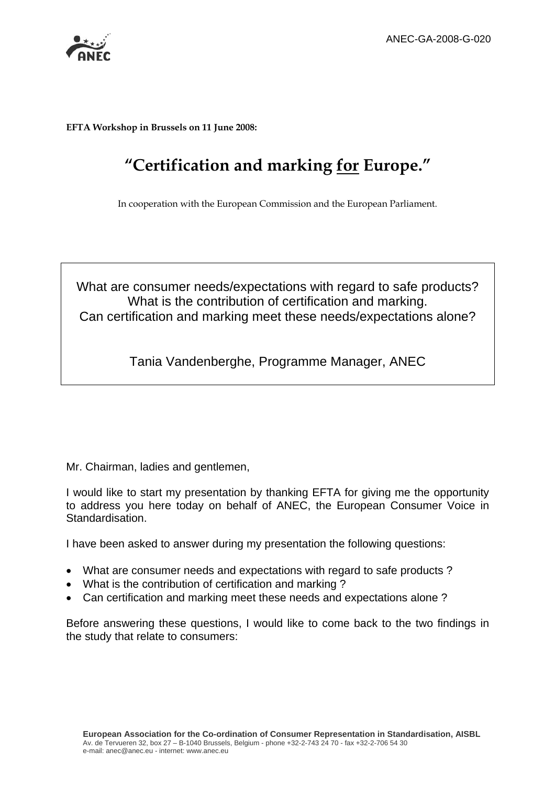

**EFTA Workshop in Brussels on 11 June 2008:** 

# **"Certification and marking for Europe."**

In cooperation with the European Commission and the European Parliament.

# What are consumer needs/expectations with regard to safe products? What is the contribution of certification and marking. Can certification and marking meet these needs/expectations alone?

Tania Vandenberghe, Programme Manager, ANEC

Mr. Chairman, ladies and gentlemen,

I would like to start my presentation by thanking EFTA for giving me the opportunity to address you here today on behalf of ANEC, the European Consumer Voice in Standardisation.

I have been asked to answer during my presentation the following questions:

- What are consumer needs and expectations with regard to safe products ?
- What is the contribution of certification and marking ?
- Can certification and marking meet these needs and expectations alone ?

Before answering these questions, I would like to come back to the two findings in the study that relate to consumers: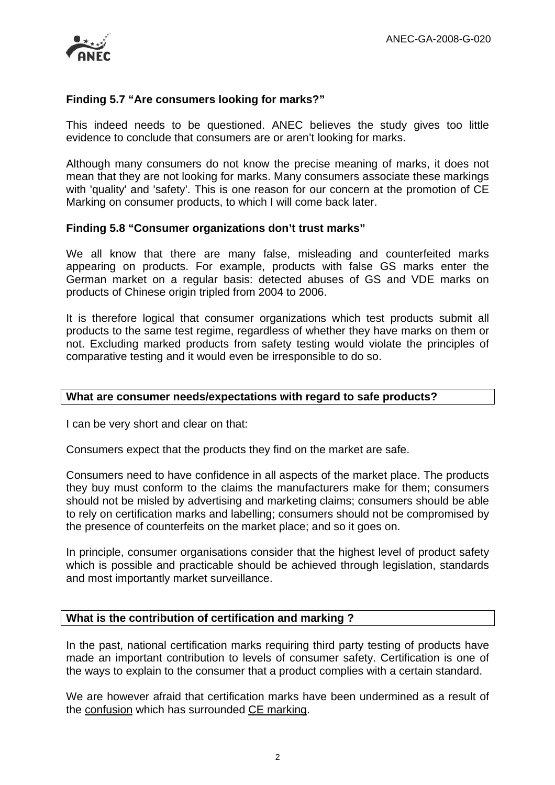

# **Finding 5.7 "Are consumers looking for marks?"**

This indeed needs to be questioned. ANEC believes the study gives too little evidence to conclude that consumers are or aren't looking for marks.

Although many consumers do not know the precise meaning of marks, it does not mean that they are not looking for marks. Many consumers associate these markings with 'quality' and 'safety'. This is one reason for our concern at the promotion of CE Marking on consumer products, to which I will come back later.

#### **Finding 5.8 "Consumer organizations don't trust marks"**

We all know that there are many false, misleading and counterfeited marks appearing on products. For example, products with false GS marks enter the German market on a regular basis: detected abuses of GS and VDE marks on products of Chinese origin tripled from 2004 to 2006.

It is therefore logical that consumer organizations which test products submit all products to the same test regime, regardless of whether they have marks on them or not. Excluding marked products from safety testing would violate the principles of comparative testing and it would even be irresponsible to do so.

#### **What are consumer needs/expectations with regard to safe products?**

I can be very short and clear on that:

Consumers expect that the products they find on the market are safe.

Consumers need to have confidence in all aspects of the market place. The products they buy must conform to the claims the manufacturers make for them; consumers should not be misled by advertising and marketing claims; consumers should be able to rely on certification marks and labelling; consumers should not be compromised by the presence of counterfeits on the market place; and so it goes on.

In principle, consumer organisations consider that the highest level of product safety which is possible and practicable should be achieved through legislation, standards and most importantly market surveillance.

### **What is the contribution of certification and marking ?**

In the past, national certification marks requiring third party testing of products have made an important contribution to levels of consumer safety. Certification is one of the ways to explain to the consumer that a product complies with a certain standard.

We are however afraid that certification marks have been undermined as a result of the confusion which has surrounded CE marking.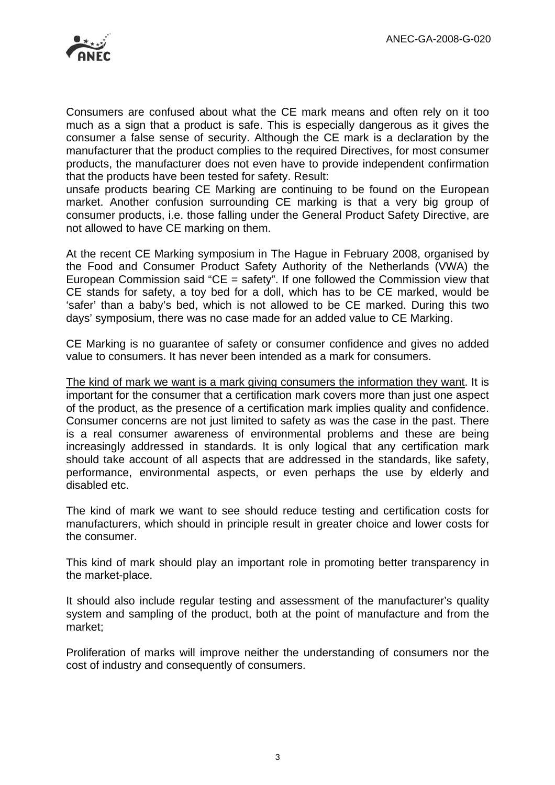

Consumers are confused about what the CE mark means and often rely on it too much as a sign that a product is safe. This is especially dangerous as it gives the consumer a false sense of security. Although the CE mark is a declaration by the manufacturer that the product complies to the required Directives, for most consumer products, the manufacturer does not even have to provide independent confirmation that the products have been tested for safety. Result:

unsafe products bearing CE Marking are continuing to be found on the European market. Another confusion surrounding CE marking is that a very big group of consumer products, i.e. those falling under the General Product Safety Directive, are not allowed to have CE marking on them.

At the recent CE Marking symposium in The Hague in February 2008, organised by the Food and Consumer Product Safety Authority of the Netherlands (VWA) the European Commission said "CE = safety". If one followed the Commission view that CE stands for safety, a toy bed for a doll, which has to be CE marked, would be 'safer' than a baby's bed, which is not allowed to be CE marked. During this two days' symposium, there was no case made for an added value to CE Marking.

CE Marking is no guarantee of safety or consumer confidence and gives no added value to consumers. It has never been intended as a mark for consumers.

The kind of mark we want is a mark giving consumers the information they want. It is important for the consumer that a certification mark covers more than just one aspect of the product, as the presence of a certification mark implies quality and confidence. Consumer concerns are not just limited to safety as was the case in the past. There is a real consumer awareness of environmental problems and these are being increasingly addressed in standards. It is only logical that any certification mark should take account of all aspects that are addressed in the standards, like safety, performance, environmental aspects, or even perhaps the use by elderly and disabled etc.

The kind of mark we want to see should reduce testing and certification costs for manufacturers, which should in principle result in greater choice and lower costs for the consumer.

This kind of mark should play an important role in promoting better transparency in the market-place.

It should also include regular testing and assessment of the manufacturer's quality system and sampling of the product, both at the point of manufacture and from the market;

Proliferation of marks will improve neither the understanding of consumers nor the cost of industry and consequently of consumers.